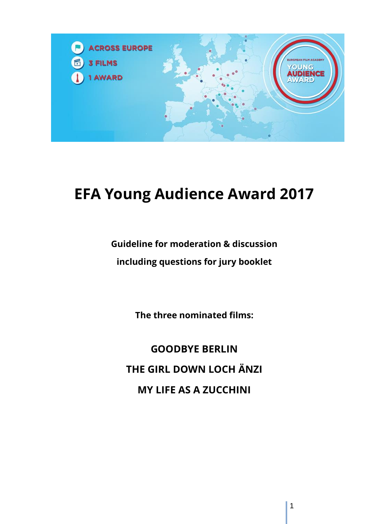

# **EFA Young Audience Award 2017**

# **Guideline for moderation & discussion including questions for jury booklet**

**The three nominated films:**

**GOODBYE BERLIN THE GIRL DOWN LOCH ÄNZI MY LIFE AS A ZUCCHINI**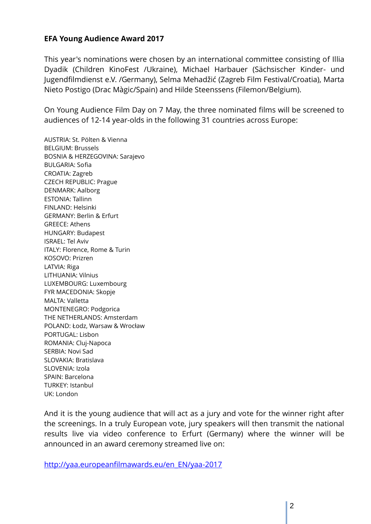# **EFA Young Audience Award 2017**

This year's nominations were chosen by an international committee consisting of Illia Dyadik (Children KinoFest /Ukraine), Michael Harbauer (Sächsischer Kinder- und Jugendfilmdienst e.V. /Germany), Selma Mehadžić (Zagreb Film Festival/Croatia), Marta Nieto Postigo (Drac Màgic/Spain) and Hilde Steenssens (Filemon/Belgium).

On Young Audience Film Day on 7 May, the three nominated films will be screened to audiences of 12-14 year-olds in the following 31 countries across Europe:

AUSTRIA: St. Pölten & Vienna BELGIUM: Brussels BOSNIA & HERZEGOVINA: Sarajevo BULGARIA: Sofia CROATIA: Zagreb CZECH REPUBLIC: Prague DENMARK: Aalborg ESTONIA: Tallinn FINLAND: Helsinki GERMANY: Berlin & Erfurt GREECE: Athens HUNGARY: Budapest ISRAEL: Tel Aviv ITALY: Florence, Rome & Turin KOSOVO: Prizren LATVIA: Riga LITHUANIA: Vilnius LUXEMBOURG: Luxembourg FYR MACEDONIA: Skopje MALTA: Valletta MONTENEGRO: Podgorica THE NETHERLANDS: Amsterdam POLAND: Łodz, Warsaw & Wrocław PORTUGAL: Lisbon ROMANIA: Cluj-Napoca SERBIA: Novi Sad SLOVAKIA: Bratislava SLOVENIA: Izola SPAIN: Barcelona TURKEY: Istanbul UK: London

And it is the young audience that will act as a jury and vote for the winner right after the screenings. In a truly European vote, jury speakers will then transmit the national results live via video conference to Erfurt (Germany) where the winner will be announced in an award ceremony streamed live on:

[http://yaa.europeanfilmawards.eu/en\\_EN/yaa-2017](http://yaa.europeanfilmawards.eu/en_EN/yaa-2017)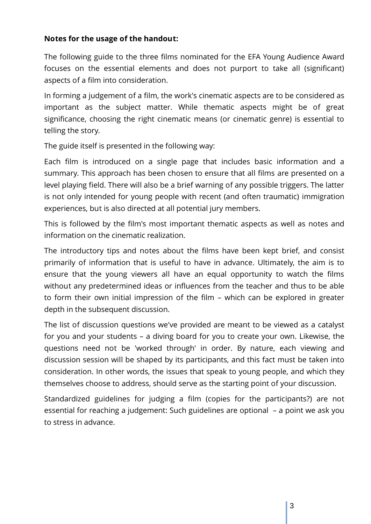# **Notes for the usage of the handout:**

The following guide to the three films nominated for the EFA Young Audience Award focuses on the essential elements and does not purport to take all (significant) aspects of a film into consideration.

In forming a judgement of a film, the work's cinematic aspects are to be considered as important as the subject matter. While thematic aspects might be of great significance, choosing the right cinematic means (or cinematic genre) is essential to telling the story.

The guide itself is presented in the following way:

Each film is introduced on a single page that includes basic information and a summary. This approach has been chosen to ensure that all films are presented on a level playing field. There will also be a brief warning of any possible triggers. The latter is not only intended for young people with recent (and often traumatic) immigration experiences, but is also directed at all potential jury members.

This is followed by the film's most important thematic aspects as well as notes and information on the cinematic realization.

The introductory tips and notes about the films have been kept brief, and consist primarily of information that is useful to have in advance. Ultimately, the aim is to ensure that the young viewers all have an equal opportunity to watch the films without any predetermined ideas or influences from the teacher and thus to be able to form their own initial impression of the film – which can be explored in greater depth in the subsequent discussion.

The list of discussion questions we've provided are meant to be viewed as a catalyst for you and your students – a diving board for you to create your own. Likewise, the questions need not be 'worked through' in order. By nature, each viewing and discussion session will be shaped by its participants, and this fact must be taken into consideration. In other words, the issues that speak to young people, and which they themselves choose to address, should serve as the starting point of your discussion.

Standardized guidelines for judging a film (copies for the participants?) are not essential for reaching a judgement: Such guidelines are optional – a point we ask you to stress in advance.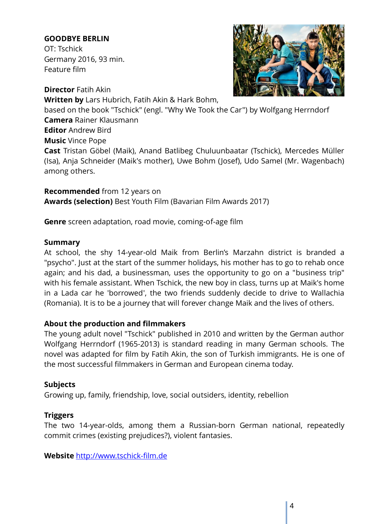# **GOODBYE BERLIN**

OT: Tschick Germany 2016, 93 min. Feature film



**Director** Fatih Akin **Written by** Lars Hubrich, Fatih Akin & Hark Bohm, based on the book "Tschick" (engl. "Why We Took the Car") by Wolfgang Herrndorf **Camera** Rainer Klausmann **Editor** Andrew Bird **Music** Vince Pope **Cast** Tristan Göbel (Maik), Anand Batlibeg Chuluunbaatar (Tschick), Mercedes Müller (Isa), Anja Schneider (Maik's mother), Uwe Bohm (Josef), Udo Samel (Mr. Wagenbach) among others.

**Recommended** from 12 years on **Awards (selection)** Best Youth Film (Bavarian Film Awards 2017)

**Genre** screen adaptation, road movie, coming-of-age film

#### **Summary**

At school, the shy 14-year-old Maik from Berlin's Marzahn district is branded a "psycho". Just at the start of the summer holidays, his mother has to go to rehab once again; and his dad, a businessman, uses the opportunity to go on a "business trip" with his female assistant. When Tschick, the new boy in class, turns up at Maik's home in a Lada car he 'borrowed', the two friends suddenly decide to drive to Wallachia (Romania). It is to be a journey that will forever change Maik and the lives of others.

# **About the production and filmmakers**

The young adult novel "Tschick" published in 2010 and written by the German author Wolfgang Herrndorf (1965-2013) is standard reading in many German schools. The novel was adapted for film by Fatih Akin, the son of Turkish immigrants. He is one of the most successful filmmakers in German and European cinema today.

# **Subjects**

Growing up, family, friendship, love, social outsiders, identity, rebellion

# **Triggers**

The two 14-year-olds, among them a Russian-born German national, repeatedly commit crimes (existing prejudices?), violent fantasies.

**Website** [http://www.tschick-film.de](http://www.tschick-film.de/)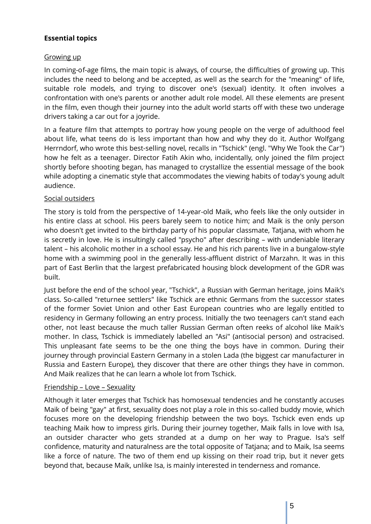# **Essential topics**

### Growing up

In coming-of-age films, the main topic is always, of course, the difficulties of growing up. This includes the need to belong and be accepted, as well as the search for the "meaning" of life, suitable role models, and trying to discover one's (sexual) identity. It often involves a confrontation with one's parents or another adult role model. All these elements are present in the film, even though their journey into the adult world starts off with these two underage drivers taking a car out for a joyride.

In a feature film that attempts to portray how young people on the verge of adulthood feel about life, what teens do is less important than how and why they do it. Author Wolfgang Herrndorf, who wrote this best-selling novel, recalls in "Tschick" (engl. "Why We Took the Car") how he felt as a teenager. Director Fatih Akin who, incidentally, only joined the film project shortly before shooting began, has managed to crystallize the essential message of the book while adopting a cinematic style that accommodates the viewing habits of today's young adult audience.

#### Social outsiders

The story is told from the perspective of 14-year-old Maik, who feels like the only outsider in his entire class at school. His peers barely seem to notice him; and Maik is the only person who doesn't get invited to the birthday party of his popular classmate, Tatjana, with whom he is secretly in love. He is insultingly called "psycho" after describing – with undeniable literary talent – his alcoholic mother in a school essay. He and his rich parents live in a bungalow-style home with a swimming pool in the generally less-affluent district of Marzahn. It was in this part of East Berlin that the largest prefabricated housing block development of the GDR was built.

Just before the end of the school year, "Tschick", a Russian with German heritage, joins Maik's class. So-called "returnee settlers" like Tschick are ethnic Germans from the successor states of the former Soviet Union and other East European countries who are legally entitled to residency in Germany following an entry process. Initially the two teenagers can't stand each other, not least because the much taller Russian German often reeks of alcohol like Maik's mother. In class, Tschick is immediately labelled an "Asi" (antisocial person) and ostracised. This unpleasant fate seems to be the one thing the boys have in common. During their journey through provincial Eastern Germany in a stolen Lada (the biggest car manufacturer in Russia and Eastern Europe), they discover that there are other things they have in common. And Maik realizes that he can learn a whole lot from Tschick.

#### Friendship – Love – Sexuality

Although it later emerges that Tschick has homosexual tendencies and he constantly accuses Maik of being "gay" at first, sexuality does not play a role in this so-called buddy movie, which focuses more on the developing friendship between the two boys. Tschick even ends up teaching Maik how to impress girls. During their journey together, Maik falls in love with Isa, an outsider character who gets stranded at a dump on her way to Prague. Isa's self confidence, maturity and naturalness are the total opposite of Tatjana; and to Maik, Isa seems like a force of nature. The two of them end up kissing on their road trip, but it never gets beyond that, because Maik, unlike Isa, is mainly interested in tenderness and romance.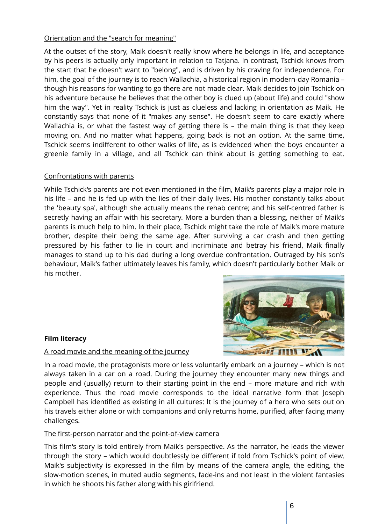#### Orientation and the "search for meaning"

At the outset of the story, Maik doesn't really know where he belongs in life, and acceptance by his peers is actually only important in relation to Tatjana. In contrast, Tschick knows from the start that he doesn't want to "belong", and is driven by his craving for independence. For him, the goal of the journey is to reach Wallachia, a historical region in modern-day Romania – though his reasons for wanting to go there are not made clear. Maik decides to join Tschick on his adventure because he believes that the other boy is clued up (about life) and could "show him the way". Yet in reality Tschick is just as clueless and lacking in orientation as Maik. He constantly says that none of it "makes any sense". He doesn't seem to care exactly where Wallachia is, or what the fastest way of getting there is - the main thing is that they keep moving on. And no matter what happens, going back is not an option. At the same time, Tschick seems indifferent to other walks of life, as is evidenced when the boys encounter a greenie family in a village, and all Tschick can think about is getting something to eat.

# Confrontations with parents

While Tschick's parents are not even mentioned in the film, Maik's parents play a major role in his life – and he is fed up with the lies of their daily lives. His mother constantly talks about the 'beauty spa', although she actually means the rehab centre; and his self-centred father is secretly having an affair with his secretary. More a burden than a blessing, neither of Maik's parents is much help to him. In their place, Tschick might take the role of Maik's more mature brother, despite their being the same age. After surviving a car crash and then getting pressured by his father to lie in court and incriminate and betray his friend, Maik finally manages to stand up to his dad during a long overdue confrontation. Outraged by his son's behaviour, Maik's father ultimately leaves his family, which doesn't particularly bother Maik or his mother.



#### A road movie and the meaning of the journey

In a road movie, the protagonists more or less voluntarily embark on a journey – which is not always taken in a car on a road. During the journey they encounter many new things and people and (usually) return to their starting point in the end – more mature and rich with experience. Thus the road movie corresponds to the ideal narrative form that Joseph Campbell has identified as existing in all cultures: It is the journey of a hero who sets out on his travels either alone or with companions and only returns home, purified, after facing many challenges.

# The first-person narrator and the point-of-view camera

This film's story is told entirely from Maik's perspective. As the narrator, he leads the viewer through the story – which would doubtlessly be different if told from Tschick's point of view. Maik's subjectivity is expressed in the film by means of the camera angle, the editing, the slow-motion scenes, in muted audio segments, fade-ins and not least in the violent fantasies in which he shoots his father along with his girlfriend.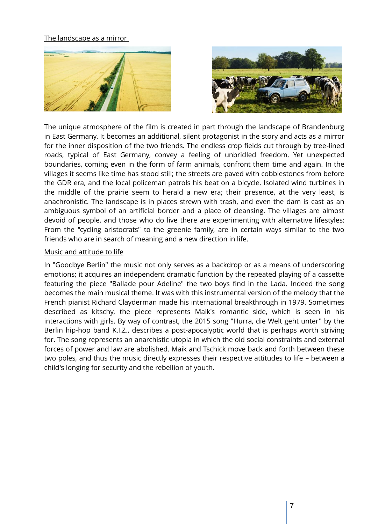#### The landscape as a mirror





The unique atmosphere of the film is created in part through the landscape of Brandenburg in East Germany. It becomes an additional, silent protagonist in the story and acts as a mirror for the inner disposition of the two friends. The endless crop fields cut through by tree-lined roads, typical of East Germany, convey a feeling of unbridled freedom. Yet unexpected boundaries, coming even in the form of farm animals, confront them time and again. In the villages it seems like time has stood still; the streets are paved with cobblestones from before the GDR era, and the local policeman patrols his beat on a bicycle. Isolated wind turbines in the middle of the prairie seem to herald a new era; their presence, at the very least, is anachronistic. The landscape is in places strewn with trash, and even the dam is cast as an ambiguous symbol of an artificial border and a place of cleansing. The villages are almost devoid of people, and those who do live there are experimenting with alternative lifestyles: From the "cycling aristocrats" to the greenie family, are in certain ways similar to the two friends who are in search of meaning and a new direction in life.

#### Music and attitude to life

In "Goodbye Berlin" the music not only serves as a backdrop or as a means of underscoring emotions; it acquires an independent dramatic function by the repeated playing of a cassette featuring the piece "Ballade pour Adeline" the two boys find in the Lada. Indeed the song becomes the main musical theme. It was with this instrumental version of the melody that the French pianist Richard Clayderman made his international breakthrough in 1979. Sometimes described as kitschy, the piece represents Maik's romantic side, which is seen in his interactions with girls. By way of contrast, the 2015 song "Hurra, die Welt geht unter" by the Berlin hip-hop band K.I.Z., describes a post-apocalyptic world that is perhaps worth striving for. The song represents an anarchistic utopia in which the old social constraints and external forces of power and law are abolished. Maik and Tschick move back and forth between these two poles, and thus the music directly expresses their respective attitudes to life – between a child's longing for security and the rebellion of youth.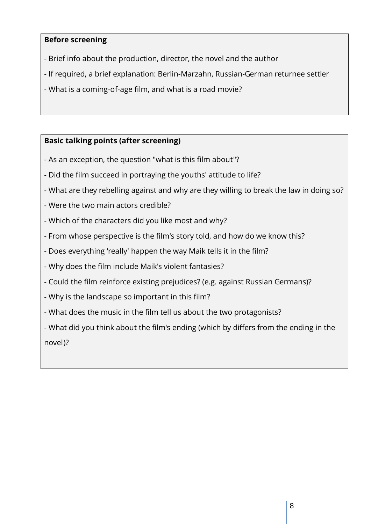# **Before screening**

- Brief info about the production, director, the novel and the author
- If required, a brief explanation: Berlin-Marzahn, Russian-German returnee settler
- What is a coming-of-age film, and what is a road movie?

# **Basic talking points (after screening)**

- As an exception, the question "what is this film about"?
- Did the film succeed in portraying the youths' attitude to life?
- What are they rebelling against and why are they willing to break the law in doing so?
- Were the two main actors credible?
- Which of the characters did you like most and why?
- From whose perspective is the film's story told, and how do we know this?
- Does everything 'really' happen the way Maik tells it in the film?
- Why does the film include Maik's violent fantasies?
- Could the film reinforce existing prejudices? (e.g. against Russian Germans)?
- Why is the landscape so important in this film?
- What does the music in the film tell us about the two protagonists?

- What did you think about the film's ending (which by differs from the ending in the novel)?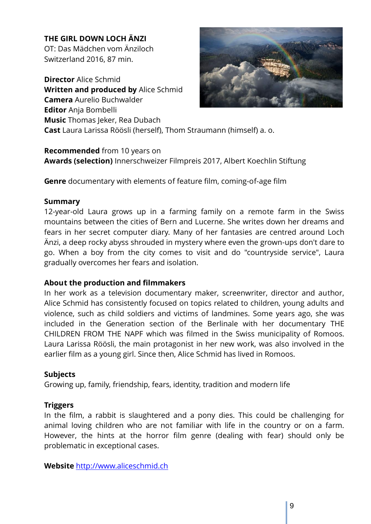**THE GIRL DOWN LOCH ÄNZI** OT: Das Mädchen vom Änziloch Switzerland 2016, 87 min.

**Director** Alice Schmid **Written and produced by** Alice Schmid **Camera** Aurelio Buchwalder **Editor** Anja Bombelli **Music** Thomas Jeker, Rea Dubach **Cast** Laura Larissa Röösli (herself), Thom Straumann (himself) a. o.



**Recommended** from 10 years on **Awards (selection)** Innerschweizer Filmpreis 2017, Albert Koechlin Stiftung

**Genre** documentary with elements of feature film, coming-of-age film

# **Summary**

12-year-old Laura grows up in a farming family on a remote farm in the Swiss mountains between the cities of Bern and Lucerne. She writes down her dreams and fears in her secret computer diary. Many of her fantasies are centred around Loch Änzi, a deep rocky abyss shrouded in mystery where even the grown-ups don't dare to go. When a boy from the city comes to visit and do "countryside service", Laura gradually overcomes her fears and isolation.

# **About the production and filmmakers**

In her work as a television documentary maker, screenwriter, director and author, Alice Schmid has consistently focused on topics related to children, young adults and violence, such as child soldiers and victims of landmines. Some years ago, she was included in the Generation section of the Berlinale with her documentary THE CHILDREN FROM THE NAPF which was filmed in the Swiss municipality of Romoos. Laura Larissa Röösli, the main protagonist in her new work, was also involved in the earlier film as a young girl. Since then, Alice Schmid has lived in Romoos.

# **Subjects**

Growing up, family, friendship, fears, identity, tradition and modern life

# **Triggers**

In the film, a rabbit is slaughtered and a pony dies. This could be challenging for animal loving children who are not familiar with life in the country or on a farm. However, the hints at the horror film genre (dealing with fear) should only be problematic in exceptional cases.

**Website** [http://www.aliceschmid.ch](http://www.aliceschmid.ch/)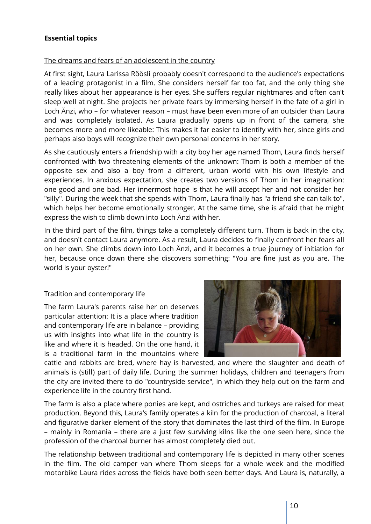### **Essential topics**

#### The dreams and fears of an adolescent in the country

At first sight, Laura Larissa Röösli probably doesn't correspond to the audience's expectations of a leading protagonist in a film. She considers herself far too fat, and the only thing she really likes about her appearance is her eyes. She suffers regular nightmares and often can't sleep well at night. She projects her private fears by immersing herself in the fate of a girl in Loch Änzi, who – for whatever reason – must have been even more of an outsider than Laura and was completely isolated. As Laura gradually opens up in front of the camera, she becomes more and more likeable: This makes it far easier to identify with her, since girls and perhaps also boys will recognize their own personal concerns in her story.

As she cautiously enters a friendship with a city boy her age named Thom, Laura finds herself confronted with two threatening elements of the unknown: Thom is both a member of the opposite sex and also a boy from a different, urban world with his own lifestyle and experiences. In anxious expectation, she creates two versions of Thom in her imagination: one good and one bad. Her innermost hope is that he will accept her and not consider her "silly". During the week that she spends with Thom, Laura finally has "a friend she can talk to", which helps her become emotionally stronger. At the same time, she is afraid that he might express the wish to climb down into Loch Änzi with her.

In the third part of the film, things take a completely different turn. Thom is back in the city, and doesn't contact Laura anymore. As a result, Laura decides to finally confront her fears all on her own. She climbs down into Loch Änzi, and it becomes a true journey of initiation for her, because once down there she discovers something: "You are fine just as you are. The world is your oyster!"

#### Tradition and contemporary life

The farm Laura's parents raise her on deserves particular attention: It is a place where tradition and contemporary life are in balance – providing us with insights into what life in the country is like and where it is headed. On the one hand, it is a traditional farm in the mountains where



cattle and rabbits are bred, where hay is harvested, and where the slaughter and death of animals is (still) part of daily life. During the summer holidays, children and teenagers from the city are invited there to do "countryside service", in which they help out on the farm and experience life in the country first hand.

The farm is also a place where ponies are kept, and ostriches and turkeys are raised for meat production. Beyond this, Laura's family operates a kiln for the production of charcoal, a literal and figurative darker element of the story that dominates the last third of the film. In Europe – mainly in Romania – there are a just few surviving kilns like the one seen here, since the profession of the charcoal burner has almost completely died out.

The relationship between traditional and contemporary life is depicted in many other scenes in the film. The old camper van where Thom sleeps for a whole week and the modified motorbike Laura rides across the fields have both seen better days. And Laura is, naturally, a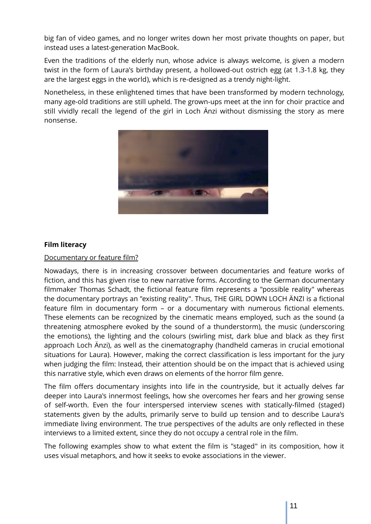big fan of video games, and no longer writes down her most private thoughts on paper, but instead uses a latest-generation MacBook.

Even the traditions of the elderly nun, whose advice is always welcome, is given a modern twist in the form of Laura's birthday present, a hollowed-out ostrich egg (at 1.3-1.8 kg, they are the largest eggs in the world), which is re-designed as a trendy night-light.

Nonetheless, in these enlightened times that have been transformed by modern technology, many age-old traditions are still upheld. The grown-ups meet at the inn for choir practice and still vividly recall the legend of the girl in Loch Änzi without dismissing the story as mere nonsense.



#### **Film literacy**

#### Documentary or feature film?

Nowadays, there is in increasing crossover between documentaries and feature works of fiction, and this has given rise to new narrative forms. According to the German documentary filmmaker Thomas Schadt, the fictional feature film represents a "possible reality" whereas the documentary portrays an "existing reality". Thus, THE GIRL DOWN LOCH ÄNZI is a fictional feature film in documentary form – or a documentary with numerous fictional elements. These elements can be recognized by the cinematic means employed, such as the sound (a threatening atmosphere evoked by the sound of a thunderstorm), the music (underscoring the emotions), the lighting and the colours (swirling mist, dark blue and black as they first approach Loch Änzi), as well as the cinematography (handheld cameras in crucial emotional situations for Laura). However, making the correct classification is less important for the jury when judging the film: Instead, their attention should be on the impact that is achieved using this narrative style, which even draws on elements of the horror film genre.

The film offers documentary insights into life in the countryside, but it actually delves far deeper into Laura's innermost feelings, how she overcomes her fears and her growing sense of self-worth. Even the four interspersed interview scenes with statically-filmed (staged) statements given by the adults, primarily serve to build up tension and to describe Laura's immediate living environment. The true perspectives of the adults are only reflected in these interviews to a limited extent, since they do not occupy a central role in the film.

The following examples show to what extent the film is "staged" in its composition, how it uses visual metaphors, and how it seeks to evoke associations in the viewer.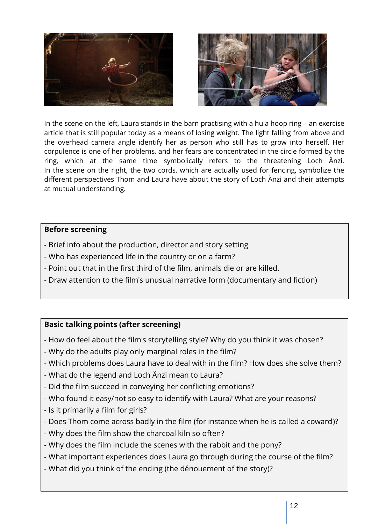



In the scene on the left, Laura stands in the barn practising with a hula hoop ring – an exercise article that is still popular today as a means of losing weight. The light falling from above and the overhead camera angle identify her as person who still has to grow into herself. Her corpulence is one of her problems, and her fears are concentrated in the circle formed by the ring, which at the same time symbolically refers to the threatening Loch Änzi. In the scene on the right, the two cords, which are actually used for fencing, symbolize the different perspectives Thom and Laura have about the story of Loch Änzi and their attempts at mutual understanding.

# **Before screening**

- Brief info about the production, director and story setting
- Who has experienced life in the country or on a farm?
- Point out that in the first third of the film, animals die or are killed.
- Draw attention to the film's unusual narrative form (documentary and fiction)

# **Basic talking points (after screening)**

- How do feel about the film's storytelling style? Why do you think it was chosen?
- Why do the adults play only marginal roles in the film?
- Which problems does Laura have to deal with in the film? How does she solve them?
- What do the legend and Loch Änzi mean to Laura?
- Did the film succeed in conveying her conflicting emotions?
- Who found it easy/not so easy to identify with Laura? What are your reasons?
- Is it primarily a film for girls?
- Does Thom come across badly in the film (for instance when he is called a coward)?
- Why does the film show the charcoal kiln so often?
- Why does the film include the scenes with the rabbit and the pony?
- What important experiences does Laura go through during the course of the film?
- What did you think of the ending (the dénouement of the story)?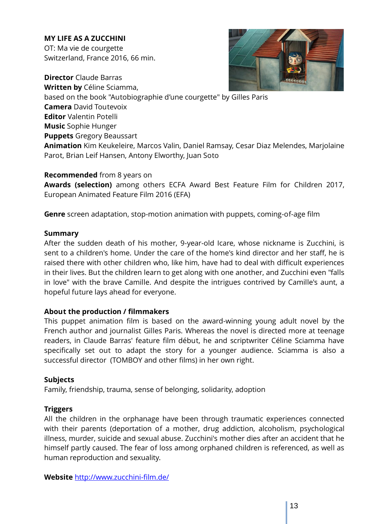**MY LIFE AS A ZUCCHINI** OT: Ma vie de courgette Switzerland, France 2016, 66 min.



**Director** Claude Barras **Written by** Céline Sciamma, based on the book "Autobiographie d'une courgette" by Gilles Paris **Camera** David Toutevoix **Editor** Valentin Potelli **Music** Sophie Hunger **Puppets** Gregory Beaussart **Animation** Kim Keukeleire, Marcos Valin, Daniel Ramsay, Cesar Diaz Melendes, Marjolaine Parot, Brian Leif Hansen, Antony Elworthy, Juan Soto

**Recommended** from 8 years on **Awards (selection)** among others ECFA Award Best Feature Film for Children 2017, European Animated Feature Film 2016 (EFA)

**Genre** screen adaptation, stop-motion animation with puppets, coming-of-age film

#### **Summary**

After the sudden death of his mother, 9-year-old Icare, whose nickname is Zucchini, is sent to a children's home. Under the care of the home's kind director and her staff, he is raised there with other children who, like him, have had to deal with difficult experiences in their lives. But the children learn to get along with one another, and Zucchini even "falls in love" with the brave Camille. And despite the intrigues contrived by Camille's aunt, a hopeful future lays ahead for everyone.

# **About the production / filmmakers**

This puppet animation film is based on the award-winning young adult novel by the French author and journalist Gilles Paris. Whereas the novel is directed more at teenage readers, in Claude Barras' feature film début, he and scriptwriter Céline Sciamma have specifically set out to adapt the story for a younger audience. Sciamma is also a successful director (TOMBOY and other films) in her own right.

#### **Subjects**

Family, friendship, trauma, sense of belonging, solidarity, adoption

# **Triggers**

All the children in the orphanage have been through traumatic experiences connected with their parents (deportation of a mother, drug addiction, alcoholism, psychological illness, murder, suicide and sexual abuse. Zucchini's mother dies after an accident that he himself partly caused. The fear of loss among orphaned children is referenced, as well as human reproduction and sexuality.

**Website** <http://www.zucchini-film.de/>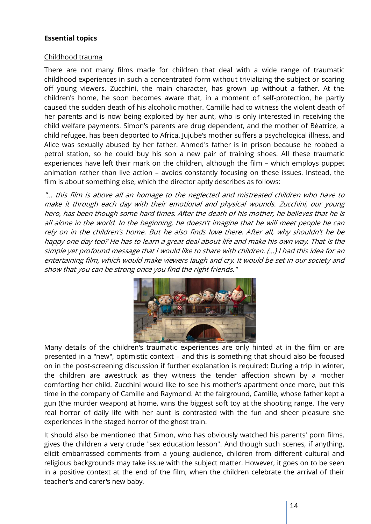#### **Essential topics**

#### Childhood trauma

There are not many films made for children that deal with a wide range of traumatic childhood experiences in such a concentrated form without trivializing the subject or scaring off young viewers. Zucchini, the main character, has grown up without a father. At the children's home, he soon becomes aware that, in a moment of self-protection, he partly caused the sudden death of his alcoholic mother. Camille had to witness the violent death of her parents and is now being exploited by her aunt, who is only interested in receiving the child welfare payments. Simon's parents are drug dependent, and the mother of Béatrice, a child refugee, has been deported to Africa. Jujube's mother suffers a psychological illness, and Alice was sexually abused by her father. Ahmed's father is in prison because he robbed a petrol station, so he could buy his son a new pair of training shoes. All these traumatic experiences have left their mark on the children, although the film – which employs puppet animation rather than live action – avoids constantly focusing on these issues. Instead, the film is about something else, which the director aptly describes as follows:

"… this film is above all an homage to the neglected and mistreated children who have to make it through each day with their emotional and physical wounds. Zucchini, our young hero, has been though some hard times. After the death of his mother, he believes that he is all alone in the world. In the beginning, he doesn't imagine that he will meet people he can rely on in the children's home. But he also finds love there. After all, why shouldn't he be happy one day too? He has to learn a great deal about life and make his own way. That is the simple yet profound message that I would like to share with children. (…) I had this idea for an entertaining film, which would make viewers laugh and cry. It would be set in our society and show that you can be strong once you find the right friends."



Many details of the children's traumatic experiences are only hinted at in the film or are presented in a "new", optimistic context – and this is something that should also be focused on in the post-screening discussion if further explanation is required: During a trip in winter, the children are awestruck as they witness the tender affection shown by a mother comforting her child. Zucchini would like to see his mother's apartment once more, but this time in the company of Camille and Raymond. At the fairground, Camille, whose father kept a gun (the murder weapon) at home, wins the biggest soft toy at the shooting range. The very real horror of daily life with her aunt is contrasted with the fun and sheer pleasure she experiences in the staged horror of the ghost train.

It should also be mentioned that Simon, who has obviously watched his parents' porn films, gives the children a very crude "sex education lesson". And though such scenes, if anything, elicit embarrassed comments from a young audience, children from different cultural and religious backgrounds may take issue with the subject matter. However, it goes on to be seen in a positive context at the end of the film, when the children celebrate the arrival of their teacher's and carer's new baby.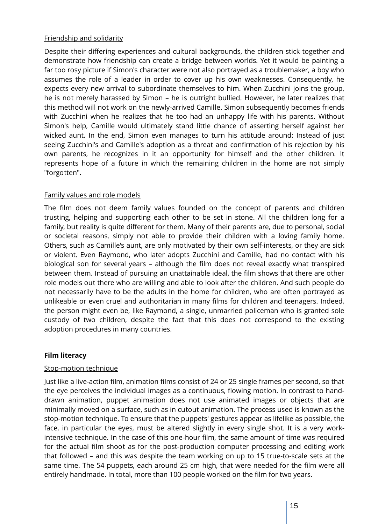#### Friendship and solidarity

Despite their differing experiences and cultural backgrounds, the children stick together and demonstrate how friendship can create a bridge between worlds. Yet it would be painting a far too rosy picture if Simon's character were not also portrayed as a troublemaker, a boy who assumes the role of a leader in order to cover up his own weaknesses. Consequently, he expects every new arrival to subordinate themselves to him. When Zucchini joins the group, he is not merely harassed by Simon – he is outright bullied. However, he later realizes that this method will not work on the newly-arrived Camille. Simon subsequently becomes friends with Zucchini when he realizes that he too had an unhappy life with his parents. Without Simon's help, Camille would ultimately stand little chance of asserting herself against her wicked aunt. In the end, Simon even manages to turn his attitude around: Instead of just seeing Zucchini's and Camille's adoption as a threat and confirmation of his rejection by his own parents, he recognizes in it an opportunity for himself and the other children. It represents hope of a future in which the remaining children in the home are not simply "forgotten".

# Family values and role models

The film does not deem family values founded on the concept of parents and children trusting, helping and supporting each other to be set in stone. All the children long for a family, but reality is quite different for them. Many of their parents are, due to personal, social or societal reasons, simply not able to provide their children with a loving family home. Others, such as Camille's aunt, are only motivated by their own self-interests, or they are sick or violent. Even Raymond, who later adopts Zucchini and Camille, had no contact with his biological son for several years – although the film does not reveal exactly what transpired between them. Instead of pursuing an unattainable ideal, the film shows that there are other role models out there who are willing and able to look after the children. And such people do not necessarily have to be the adults in the home for children, who are often portrayed as unlikeable or even cruel and authoritarian in many films for children and teenagers. Indeed, the person might even be, like Raymond, a single, unmarried policeman who is granted sole custody of two children, despite the fact that this does not correspond to the existing adoption procedures in many countries.

#### **Film literacy**

#### Stop-motion technique

Just like a live-action film, animation films consist of 24 or 25 single frames per second, so that the eye perceives the individual images as a continuous, flowing motion. In contrast to handdrawn animation, puppet animation does not use animated images or objects that are minimally moved on a surface, such as in cutout animation. The process used is known as the stop-motion technique. To ensure that the puppets' gestures appear as lifelike as possible, the face, in particular the eyes, must be altered slightly in every single shot. It is a very workintensive technique. In the case of this one-hour film, the same amount of time was required for the actual film shoot as for the post-production computer processing and editing work that followed – and this was despite the team working on up to 15 true-to-scale sets at the same time. The 54 puppets, each around 25 cm high, that were needed for the film were all entirely handmade. In total, more than 100 people worked on the film for two years.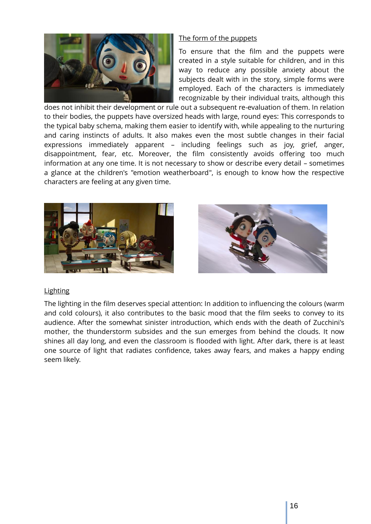

#### The form of the puppets

To ensure that the film and the puppets were created in a style suitable for children, and in this way to reduce any possible anxiety about the subjects dealt with in the story, simple forms were employed. Each of the characters is immediately recognizable by their individual traits, although this

does not inhibit their development or rule out a subsequent re-evaluation of them. In relation to their bodies, the puppets have oversized heads with large, round eyes: This corresponds to the typical baby schema, making them easier to identify with, while appealing to the nurturing and caring instincts of adults. It also makes even the most subtle changes in their facial expressions immediately apparent – including feelings such as joy, grief, anger, disappointment, fear, etc. Moreover, the film consistently avoids offering too much information at any one time. It is not necessary to show or describe every detail – sometimes a glance at the children's "emotion weatherboard", is enough to know how the respective characters are feeling at any given time.





#### Lighting

The lighting in the film deserves special attention: In addition to influencing the colours (warm and cold colours), it also contributes to the basic mood that the film seeks to convey to its audience. After the somewhat sinister introduction, which ends with the death of Zucchini's mother, the thunderstorm subsides and the sun emerges from behind the clouds. It now shines all day long, and even the classroom is flooded with light. After dark, there is at least one source of light that radiates confidence, takes away fears, and makes a happy ending seem likely.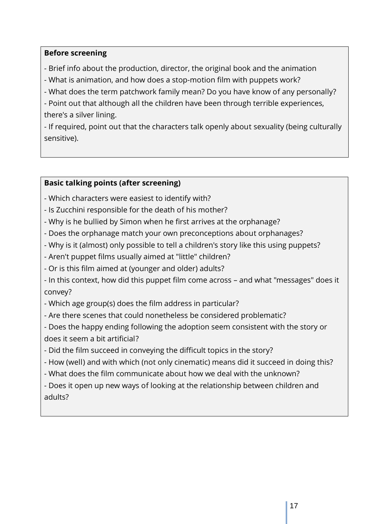# **Before screening**

- Brief info about the production, director, the original book and the animation
- What is animation, and how does a stop-motion film with puppets work?
- What does the term patchwork family mean? Do you have know of any personally?
- Point out that although all the children have been through terrible experiences, there's a silver lining.

- If required, point out that the characters talk openly about sexuality (being culturally sensitive).

# **Basic talking points (after screening)**

- Which characters were easiest to identify with?
- Is Zucchini responsible for the death of his mother?
- Why is he bullied by Simon when he first arrives at the orphanage?
- Does the orphanage match your own preconceptions about orphanages?
- Why is it (almost) only possible to tell a children's story like this using puppets?
- Aren't puppet films usually aimed at "little" children?
- Or is this film aimed at (younger and older) adults?
- In this context, how did this puppet film come across and what "messages" does it convey?
- Which age group(s) does the film address in particular?
- Are there scenes that could nonetheless be considered problematic?
- Does the happy ending following the adoption seem consistent with the story or does it seem a bit artificial?
- Did the film succeed in conveying the difficult topics in the story?
- How (well) and with which (not only cinematic) means did it succeed in doing this?
- What does the film communicate about how we deal with the unknown?
- Does it open up new ways of looking at the relationship between children and adults?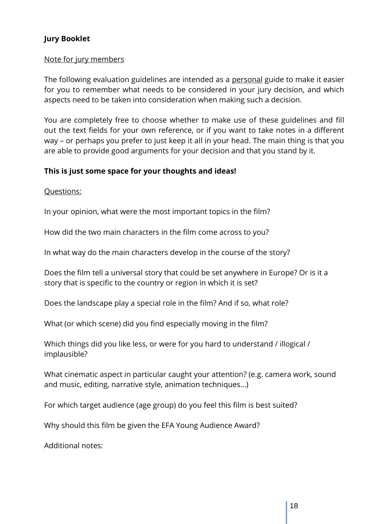# **Jury Booklet**

# Note for jury members

The following evaluation guidelines are intended as a personal guide to make it easier for you to remember what needs to be considered in your jury decision, and which aspects need to be taken into consideration when making such a decision.

You are completely free to choose whether to make use of these guidelines and fill out the text fields for your own reference, or if you want to take notes in a different way – or perhaps you prefer to just keep it all in your head. The main thing is that you are able to provide good arguments for your decision and that you stand by it.

# **This is just some space for your thoughts and ideas!**

# Questions:

In your opinion, what were the most important topics in the film?

How did the two main characters in the film come across to you?

In what way do the main characters develop in the course of the story?

Does the film tell a universal story that could be set anywhere in Europe? Or is it a story that is specific to the country or region in which it is set?

Does the landscape play a special role in the film? And if so, what role?

What (or which scene) did you find especially moving in the film?

Which things did you like less, or were for you hard to understand / illogical / implausible?

What cinematic aspect in particular caught your attention? (e.g. camera work, sound and music, editing, narrative style, animation techniques…)

For which target audience (age group) do you feel this film is best suited?

Why should this film be given the EFA Young Audience Award?

Additional notes: